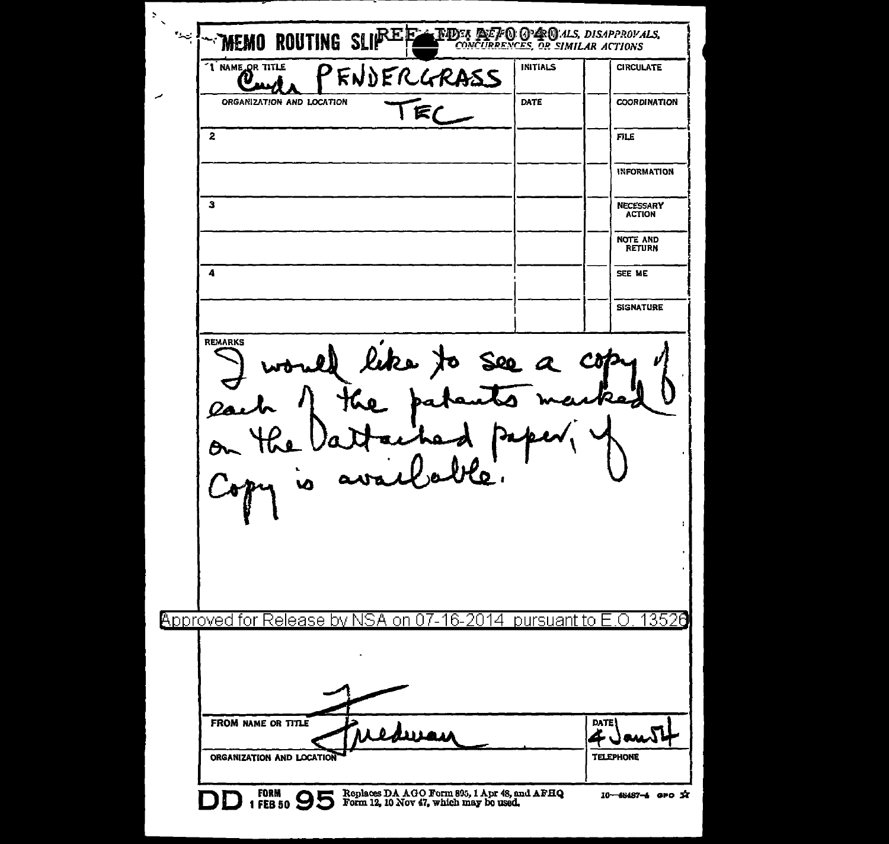$\overline{z}$  $\neg$ memo routing sli $\mathbb{P}^{\text{E}}$ e **THDES DEFO GPDC**M.ALS, DISAPPROVALS,<br>CONCURRENCES, OR SIMILAR ACTIONS  $\sim$ "I NAME OR TITLE **INITIALS CIRCULATE** PENDERGRASS  $\boldsymbol{\vartheta}_{\rm m}$ TEC ORGANIZATION AND LOCATION DATE **COORDINATION**  $\overline{2}$ **FILE INFORMATION**  $\mathbf{3}$ **NECESSARY ACTION** NOTE AND<br>RETURN  $\ddot{ }$ SEE ME **SIGNATURE REMARKS** would like to see a copy e pa  $rac{\partial}{\partial r}$ availle py is **Approved for Release by NSA** on 07-16-2014 pursuant to E.O 13526 FROM NAME OR TITLE **DATE** سەل غە TELEPHONE ORGANIZATION AND LOCATION DD 1 FB 50 95 Form 12, 10 Nov 47, which may be used. 10-48487-6 GPO X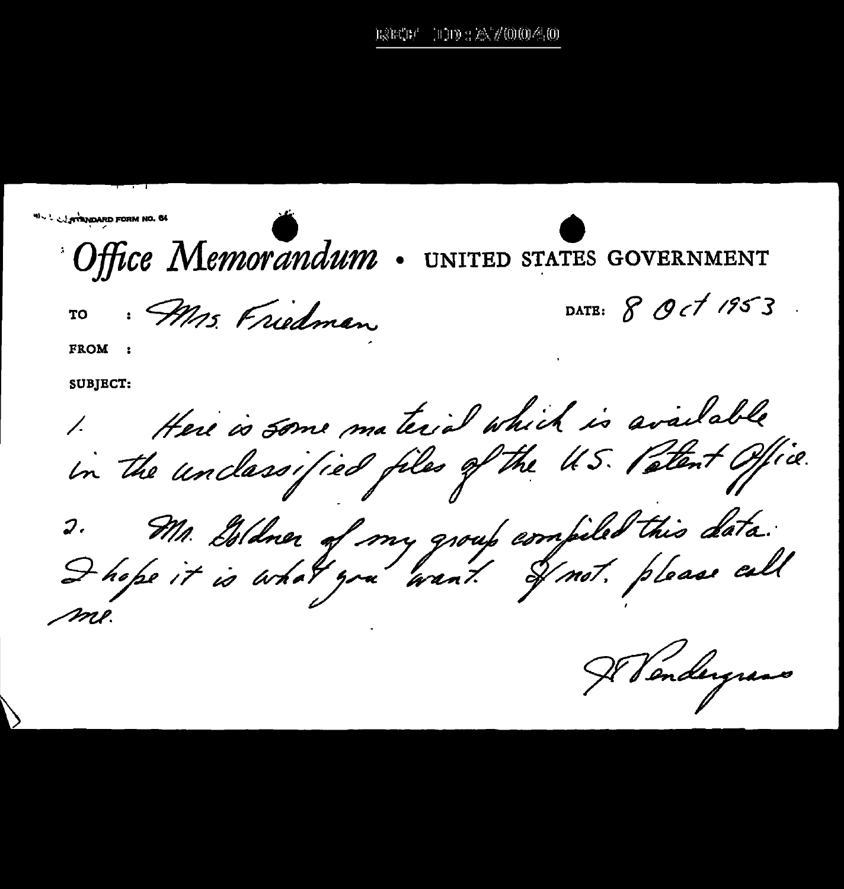$110.2 \times 70004.0$ the the f

**WALL STANDARD FORM NO. 64** Office Memorandum UNITED STATES GOVERNMENT DATE: 8 Oct 1953. · Mrs. Friedman TО **FROM SUBJECT:** 1. Here is some material which is available 2. Mr. Isldner of my group compiled this data.<br>I hope it is what you want I not please call

Il Vendergrans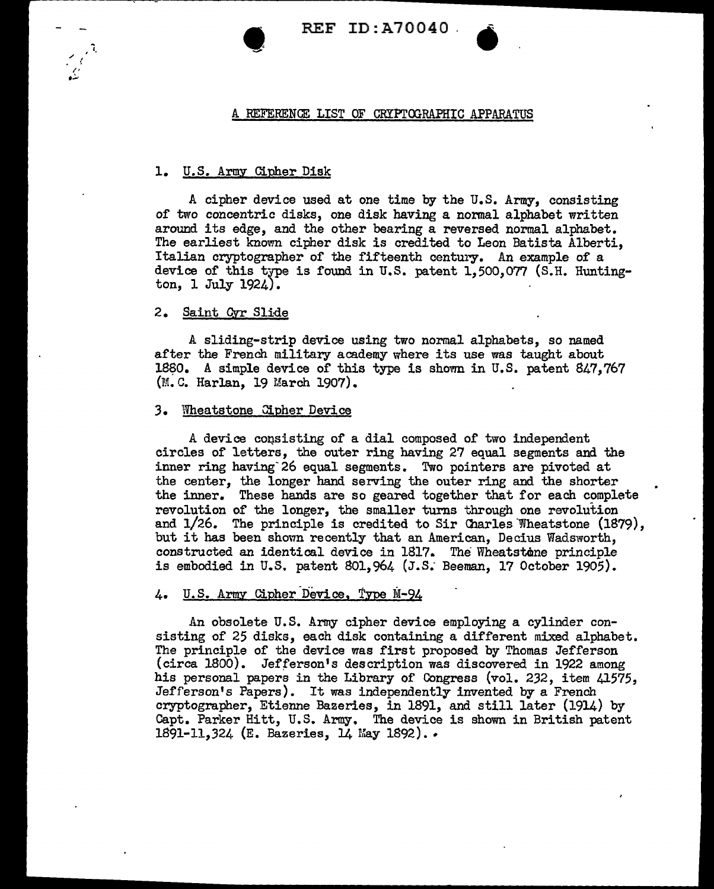REF ID:A70040 .

### A REFERENCE LIST OF CRYPTOGRAPHIC APPARATUS

# 1. U.S. Army Cipher Disk

 $\bullet$ 

A cipher device used at one time by the U.S. Army, consisting of two concentric disks, one disk having a normal alphabet written around its edge, and the other bearing a reversed normal alphabet. The earliest known cipher disk is credited to Leon Batista Alberti, Italian cryptographer of the fifteenth century. An example of a device of this type is found in U.S. patent  $1,500,077$  (S.H. Huntington, 1 July 1924).

## 2. Saint Qvr Slide

A sliding-strip device using two normal alphabets, so named after the French military academy where its use was taught about 1880. A simple device of this type is shown in U.S. patent 847,767 (M.C. Harlan, 19 March 1907).

### *3.* Wheatstone Gipher Device

A device consisting of a dial composed of two independent circles of letters, the outer ring having 27 equal segments and the inner ring having 26 equal segments. Two pointers are pivoted at the center, the longer hand serving the outer ring and the shorter the inner. These hands are so geared together that for each complete revolution of the longer, the smaller turns through one revolution and  $1/26$ . The principle is credited to Sir Charles Wheatstone  $(1879)$ , but it has been shown recently that an American, Decius Wadsworth, constructed an identical device in 1817. The Wheatstone principle is embodied in U.S. patent 801, 964 (J.S. Beeman, 17 October 1905).

# 4. U.S. Army Cipher Device, Type M-94

An obsolete U.S. Army cipher device employing a cylinder consisting of 25 disks, each disk containing a different mixed alphabet. The principle of the device was first proposed by Thomas Jefferson (circa 1800). Jefferson's description was discovered in 1922 among his personal papers in the Library of Congress (vol. 232, item 41575, Jefferson's Papers). It was independently invented by a French cryptographer, Etienne Bazeries, in 1891, and still later (1914) by Capt. Parker Hitt, U.S. Army. The device is shown in British patent 1891-11,324 (E. Bazeries, 14 May 1892)...